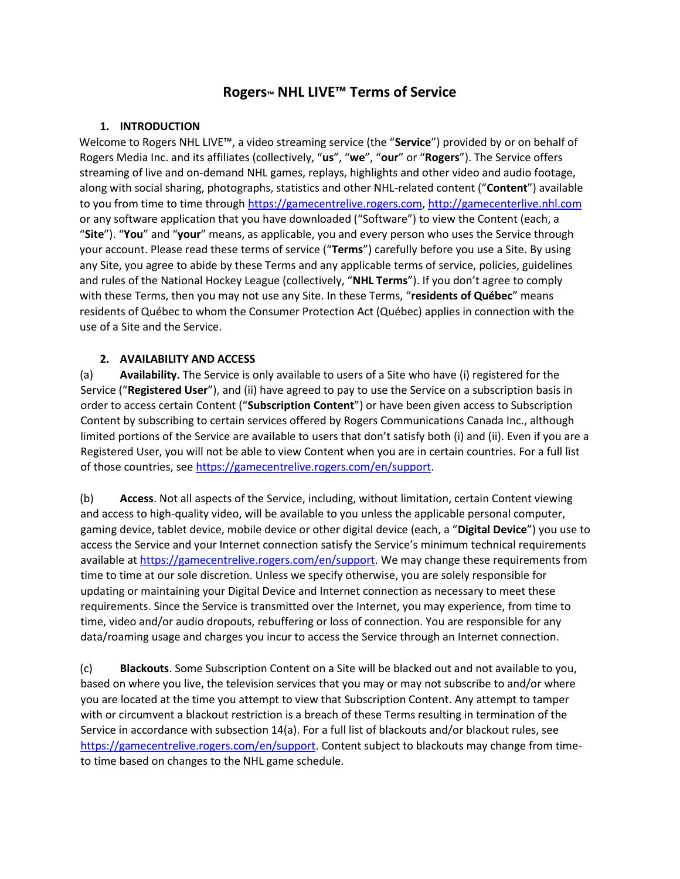# **Rogers™ NHL LIVE™ Terms of Service**

#### **1. INTRODUCTION**

Welcome to Rogers NHL LIVE™, a video streaming service (the "**Service**") provided by or on behalf of Rogers Media Inc. and its affiliates (collectively, "**us**", "**we**", "**our**" or "**Rogers**"). The Service offers streaming of live and on-demand NHL games, replays, highlights and other video and audio footage, along with social sharing, photographs, statistics and other NHL-related content ("**Content**") available to you from time to time through [https://gamecentrelive.rogers.com,](https://gamecentrelive.rogers.com/) [http://gamecenterlive.nhl.com](http://gamecenterlive.nhl.com/) or any software application that you have downloaded ("Software") to view the Content (each, a "**Site**"). "**You**" and "**your**" means, as applicable, you and every person who uses the Service through your account. Please read these terms of service ("**Terms**") carefully before you use a Site. By using any Site, you agree to abide by these Terms and any applicable terms of service, policies, guidelines and rules of the National Hockey League (collectively, "**NHL Terms**"). If you don't agree to comply with these Terms, then you may not use any Site. In these Terms, "**residents of Québec**" means residents of Québec to whom the Consumer Protection Act (Québec) applies in connection with the use of a Site and the Service.

### **2. AVAILABILITY AND ACCESS**

(a) **Availability.** The Service is only available to users of a Site who have (i) registered for the Service ("**Registered User**"), and (ii) have agreed to pay to use the Service on a subscription basis in order to access certain Content ("**Subscription Content**") or have been given access to Subscription Content by subscribing to certain services offered by Rogers Communications Canada Inc., although limited portions of the Service are available to users that don't satisfy both (i) and (ii). Even if you are a Registered User, you will not be able to view Content when you are in certain countries. For a full list of those countries, se[e https://gamecentrelive.rogers.com/en/support.](https://gamecentrelive.rogers.com/en/support)

(b) **Access**. Not all aspects of the Service, including, without limitation, certain Content viewing and access to high-quality video, will be available to you unless the applicable personal computer, gaming device, tablet device, mobile device or other digital device (each, a "**Digital Device**") you use to access the Service and your Internet connection satisfy the Service's minimum technical requirements available at [https://gamecentrelive.rogers.com/en/support.](https://gamecentrelive.rogers.com/en/support) We may change these requirements from time to time at our sole discretion. Unless we specify otherwise, you are solely responsible for updating or maintaining your Digital Device and Internet connection as necessary to meet these requirements. Since the Service is transmitted over the Internet, you may experience, from time to time, video and/or audio dropouts, rebuffering or loss of connection. You are responsible for any data/roaming usage and charges you incur to access the Service through an Internet connection.

(c) **Blackouts**. Some Subscription Content on a Site will be blacked out and not available to you, based on where you live, the television services that you may or may not subscribe to and/or where you are located at the time you attempt to view that Subscription Content. Any attempt to tamper with or circumvent a blackout restriction is a breach of these Terms resulting in termination of the Service in accordance with subsection 14(a). For a full list of blackouts and/or blackout rules, see [https://gamecentrelive.rogers.com/en/support.](https://gamecentrelive.rogers.com/en/support) Content subject to blackouts may change from timeto time based on changes to the NHL game schedule.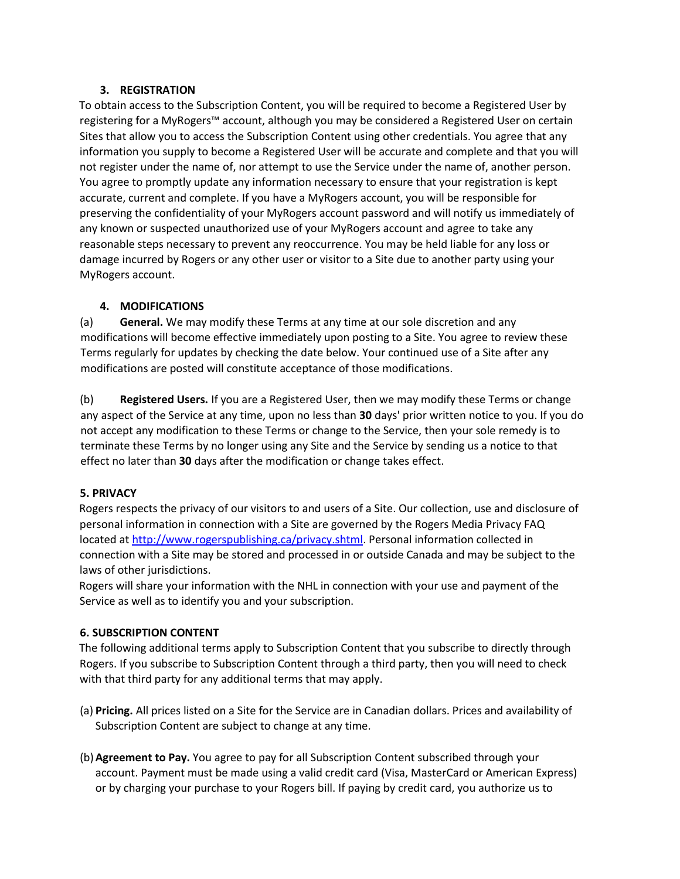#### **3. REGISTRATION**

To obtain access to the Subscription Content, you will be required to become a Registered User by registering for a MyRogers™ account, although you may be considered a Registered User on certain Sites that allow you to access the Subscription Content using other credentials. You agree that any information you supply to become a Registered User will be accurate and complete and that you will not register under the name of, nor attempt to use the Service under the name of, another person. You agree to promptly update any information necessary to ensure that your registration is kept accurate, current and complete. If you have a MyRogers account, you will be responsible for preserving the confidentiality of your MyRogers account password and will notify us immediately of any known or suspected unauthorized use of your MyRogers account and agree to take any reasonable steps necessary to prevent any reoccurrence. You may be held liable for any loss or damage incurred by Rogers or any other user or visitor to a Site due to another party using your MyRogers account.

### **4. MODIFICATIONS**

(a) **General.** We may modify these Terms at any time at our sole discretion and any modifications will become effective immediately upon posting to a Site. You agree to review these Terms regularly for updates by checking the date below. Your continued use of a Site after any modifications are posted will constitute acceptance of those modifications.

(b) **Registered Users.** If you are a Registered User, then we may modify these Terms or change any aspect of the Service at any time, upon no less than **30** days' prior written notice to you. If you do not accept any modification to these Terms or change to the Service, then your sole remedy is to terminate these Terms by no longer using any Site and the Service by sending us a notice to that effect no later than **30** days after the modification or change takes effect.

### **5. PRIVACY**

Rogers respects the privacy of our visitors to and users of a Site. Our collection, use and disclosure of personal information in connection with a Site are governed by the Rogers Media Privacy FAQ located at [http://www.rogerspublishing.ca/privacy.shtml.](http://www.rogerspublishing.ca/privacy.shtml) Personal information collected in connection with a Site may be stored and processed in or outside Canada and may be subject to the laws of other jurisdictions.

Rogers will share your information with the NHL in connection with your use and payment of the Service as well as to identify you and your subscription.

# **6. SUBSCRIPTION CONTENT**

The following additional terms apply to Subscription Content that you subscribe to directly through Rogers. If you subscribe to Subscription Content through a third party, then you will need to check with that third party for any additional terms that may apply.

- (a) **Pricing.** All prices listed on a Site for the Service are in Canadian dollars. Prices and availability of Subscription Content are subject to change at any time.
- (b)**Agreement to Pay.** You agree to pay for all Subscription Content subscribed through your account. Payment must be made using a valid credit card (Visa, MasterCard or American Express) or by charging your purchase to your Rogers bill. If paying by credit card, you authorize us to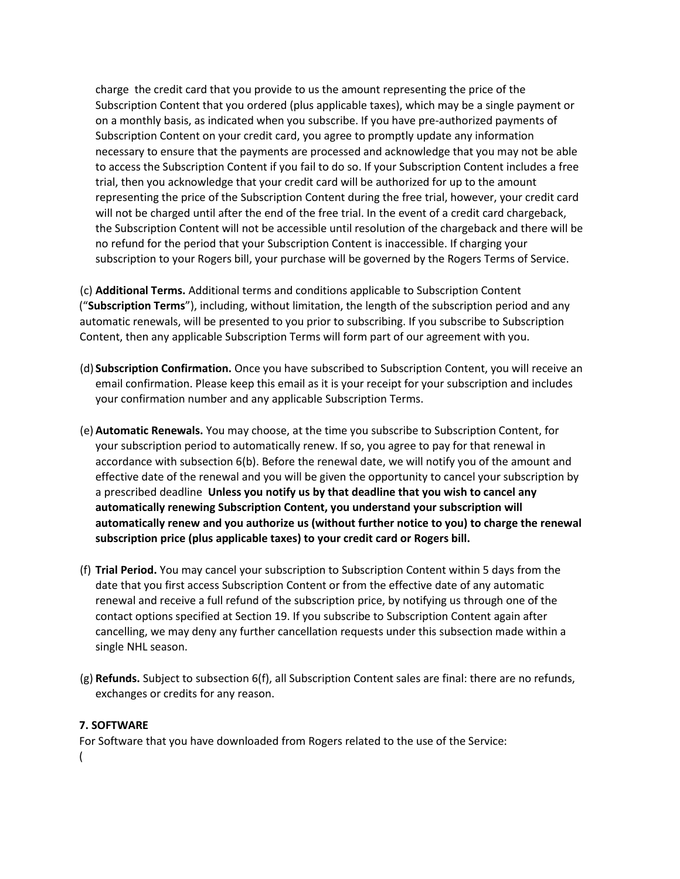charge the credit card that you provide to us the amount representing the price of the Subscription Content that you ordered (plus applicable taxes), which may be a single payment or on a monthly basis, as indicated when you subscribe. If you have pre-authorized payments of Subscription Content on your credit card, you agree to promptly update any information necessary to ensure that the payments are processed and acknowledge that you may not be able to access the Subscription Content if you fail to do so. If your Subscription Content includes a free trial, then you acknowledge that your credit card will be authorized for up to the amount representing the price of the Subscription Content during the free trial, however, your credit card will not be charged until after the end of the free trial. In the event of a credit card chargeback, the Subscription Content will not be accessible until resolution of the chargeback and there will be no refund for the period that your Subscription Content is inaccessible. If charging your subscription to your Rogers bill, your purchase will be governed by the Rogers Terms of Service.

(c) **Additional Terms.** Additional terms and conditions applicable to Subscription Content ("**Subscription Terms**"), including, without limitation, the length of the subscription period and any automatic renewals, will be presented to you prior to subscribing. If you subscribe to Subscription Content, then any applicable Subscription Terms will form part of our agreement with you.

- (d) **Subscription Confirmation.** Once you have subscribed to Subscription Content, you will receive an email confirmation. Please keep this email as it is your receipt for your subscription and includes your confirmation number and any applicable Subscription Terms.
- (e) **Automatic Renewals.** You may choose, at the time you subscribe to Subscription Content, for your subscription period to automatically renew. If so, you agree to pay for that renewal in accordance with subsection 6(b). Before the renewal date, we will notify you of the amount and effective date of the renewal and you will be given the opportunity to cancel your subscription by a prescribed deadline **Unless you notify us by that deadline that you wish to cancel any automatically renewing Subscription Content, you understand your subscription will automatically renew and you authorize us (without further notice to you) to charge the renewal subscription price (plus applicable taxes) to your credit card or Rogers bill.**
- (f) **Trial Period.** You may cancel your subscription to Subscription Content within 5 days from the date that you first access Subscription Content or from the effective date of any automatic renewal and receive a full refund of the subscription price, by notifying us through one of the contact options specified at Section 19. If you subscribe to Subscription Content again after cancelling, we may deny any further cancellation requests under this subsection made within a single NHL season.
- (g) **Refunds.** Subject to subsection 6(f), all Subscription Content sales are final: there are no refunds, exchanges or credits for any reason.

### **7. SOFTWARE**

For Software that you have downloaded from Rogers related to the use of the Service: (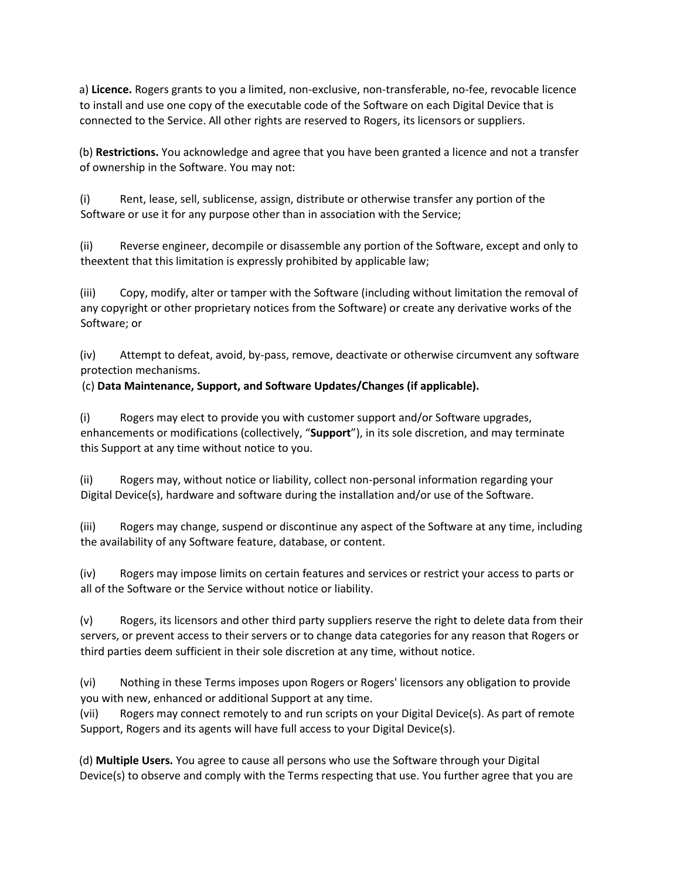a) **Licence.** Rogers grants to you a limited, non-exclusive, non-transferable, no-fee, revocable licence to install and use one copy of the executable code of the Software on each Digital Device that is connected to the Service. All other rights are reserved to Rogers, its licensors or suppliers.

(b) **Restrictions.** You acknowledge and agree that you have been granted a licence and not a transfer of ownership in the Software. You may not:

(i) Rent, lease, sell, sublicense, assign, distribute or otherwise transfer any portion of the Software or use it for any purpose other than in association with the Service;

(ii) Reverse engineer, decompile or disassemble any portion of the Software, except and only to theextent that this limitation is expressly prohibited by applicable law;

(iii) Copy, modify, alter or tamper with the Software (including without limitation the removal of any copyright or other proprietary notices from the Software) or create any derivative works of the Software; or

(iv) Attempt to defeat, avoid, by-pass, remove, deactivate or otherwise circumvent any software protection mechanisms.

# (c) **Data Maintenance, Support, and Software Updates/Changes (if applicable).**

(i) Rogers may elect to provide you with customer support and/or Software upgrades, enhancements or modifications (collectively, "**Support**"), in its sole discretion, and may terminate this Support at any time without notice to you.

(ii) Rogers may, without notice or liability, collect non-personal information regarding your Digital Device(s), hardware and software during the installation and/or use of the Software.

(iii) Rogers may change, suspend or discontinue any aspect of the Software at any time, including the availability of any Software feature, database, or content.

(iv) Rogers may impose limits on certain features and services or restrict your access to parts or all of the Software or the Service without notice or liability.

(v) Rogers, its licensors and other third party suppliers reserve the right to delete data from their servers, or prevent access to their servers or to change data categories for any reason that Rogers or third parties deem sufficient in their sole discretion at any time, without notice.

(vi) Nothing in these Terms imposes upon Rogers or Rogers' licensors any obligation to provide you with new, enhanced or additional Support at any time.

(vii) Rogers may connect remotely to and run scripts on your Digital Device(s). As part of remote Support, Rogers and its agents will have full access to your Digital Device(s).

(d) **Multiple Users.** You agree to cause all persons who use the Software through your Digital Device(s) to observe and comply with the Terms respecting that use. You further agree that you are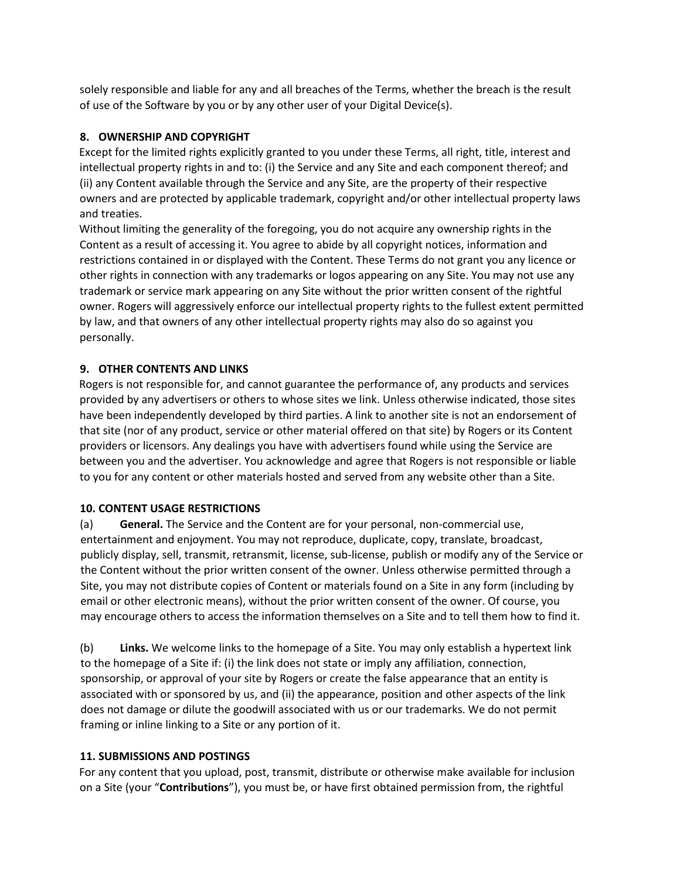solely responsible and liable for any and all breaches of the Terms, whether the breach is the result of use of the Software by you or by any other user of your Digital Device(s).

### **8. OWNERSHIP AND COPYRIGHT**

Except for the limited rights explicitly granted to you under these Terms, all right, title, interest and intellectual property rights in and to: (i) the Service and any Site and each component thereof; and (ii) any Content available through the Service and any Site, are the property of their respective owners and are protected by applicable trademark, copyright and/or other intellectual property laws and treaties.

Without limiting the generality of the foregoing, you do not acquire any ownership rights in the Content as a result of accessing it. You agree to abide by all copyright notices, information and restrictions contained in or displayed with the Content. These Terms do not grant you any licence or other rights in connection with any trademarks or logos appearing on any Site. You may not use any trademark or service mark appearing on any Site without the prior written consent of the rightful owner. Rogers will aggressively enforce our intellectual property rights to the fullest extent permitted by law, and that owners of any other intellectual property rights may also do so against you personally.

### **9. OTHER CONTENTS AND LINKS**

Rogers is not responsible for, and cannot guarantee the performance of, any products and services provided by any advertisers or others to whose sites we link. Unless otherwise indicated, those sites have been independently developed by third parties. A link to another site is not an endorsement of that site (nor of any product, service or other material offered on that site) by Rogers or its Content providers or licensors. Any dealings you have with advertisers found while using the Service are between you and the advertiser. You acknowledge and agree that Rogers is not responsible or liable to you for any content or other materials hosted and served from any website other than a Site.

### **10. CONTENT USAGE RESTRICTIONS**

(a) **General.** The Service and the Content are for your personal, non-commercial use, entertainment and enjoyment. You may not reproduce, duplicate, copy, translate, broadcast, publicly display, sell, transmit, retransmit, license, sub-license, publish or modify any of the Service or the Content without the prior written consent of the owner. Unless otherwise permitted through a Site, you may not distribute copies of Content or materials found on a Site in any form (including by email or other electronic means), without the prior written consent of the owner. Of course, you may encourage others to access the information themselves on a Site and to tell them how to find it.

(b) **Links.** We welcome links to the homepage of a Site. You may only establish a hypertext link to the homepage of a Site if: (i) the link does not state or imply any affiliation, connection, sponsorship, or approval of your site by Rogers or create the false appearance that an entity is associated with or sponsored by us, and (ii) the appearance, position and other aspects of the link does not damage or dilute the goodwill associated with us or our trademarks. We do not permit framing or inline linking to a Site or any portion of it.

### **11. SUBMISSIONS AND POSTINGS**

For any content that you upload, post, transmit, distribute or otherwise make available for inclusion on a Site (your "**Contributions**"), you must be, or have first obtained permission from, the rightful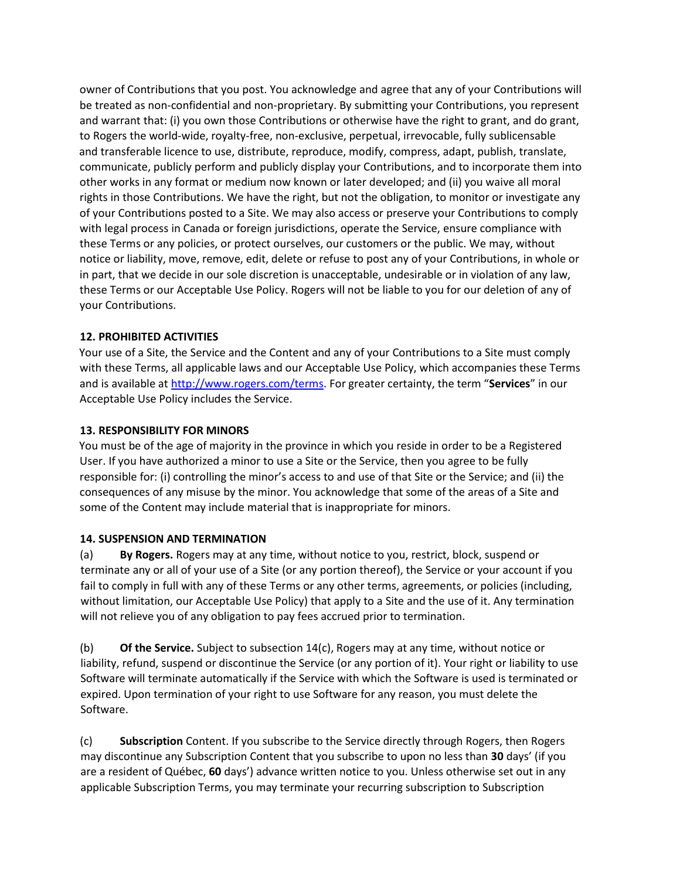owner of Contributions that you post. You acknowledge and agree that any of your Contributions will be treated as non-confidential and non-proprietary. By submitting your Contributions, you represent and warrant that: (i) you own those Contributions or otherwise have the right to grant, and do grant, to Rogers the world-wide, royalty-free, non-exclusive, perpetual, irrevocable, fully sublicensable and transferable licence to use, distribute, reproduce, modify, compress, adapt, publish, translate, communicate, publicly perform and publicly display your Contributions, and to incorporate them into other works in any format or medium now known or later developed; and (ii) you waive all moral rights in those Contributions. We have the right, but not the obligation, to monitor or investigate any of your Contributions posted to a Site. We may also access or preserve your Contributions to comply with legal process in Canada or foreign jurisdictions, operate the Service, ensure compliance with these Terms or any policies, or protect ourselves, our customers or the public. We may, without notice or liability, move, remove, edit, delete or refuse to post any of your Contributions, in whole or in part, that we decide in our sole discretion is unacceptable, undesirable or in violation of any law, these Terms or our Acceptable Use Policy. Rogers will not be liable to you for our deletion of any of your Contributions.

### **12. PROHIBITED ACTIVITIES**

Your use of a Site, the Service and the Content and any of your Contributions to a Site must comply with these Terms, all applicable laws and our Acceptable Use Policy, which accompanies these Terms and is available at [http://www.rogers.com/terms.](http://www.rogers.com/terms) For greater certainty, the term "**Services**" in our Acceptable Use Policy includes the Service.

### **13. RESPONSIBILITY FOR MINORS**

You must be of the age of majority in the province in which you reside in order to be a Registered User. If you have authorized a minor to use a Site or the Service, then you agree to be fully responsible for: (i) controlling the minor's access to and use of that Site or the Service; and (ii) the consequences of any misuse by the minor. You acknowledge that some of the areas of a Site and some of the Content may include material that is inappropriate for minors.

### **14. SUSPENSION AND TERMINATION**

(a) **By Rogers.** Rogers may at any time, without notice to you, restrict, block, suspend or terminate any or all of your use of a Site (or any portion thereof), the Service or your account if you fail to comply in full with any of these Terms or any other terms, agreements, or policies (including, without limitation, our Acceptable Use Policy) that apply to a Site and the use of it. Any termination will not relieve you of any obligation to pay fees accrued prior to termination.

(b) **Of the Service.** Subject to subsection 14(c), Rogers may at any time, without notice or liability, refund, suspend or discontinue the Service (or any portion of it). Your right or liability to use Software will terminate automatically if the Service with which the Software is used is terminated or expired. Upon termination of your right to use Software for any reason, you must delete the Software.

(c) **Subscription** Content. If you subscribe to the Service directly through Rogers, then Rogers may discontinue any Subscription Content that you subscribe to upon no less than **30** days' (if you are a resident of Québec, **60** days') advance written notice to you. Unless otherwise set out in any applicable Subscription Terms, you may terminate your recurring subscription to Subscription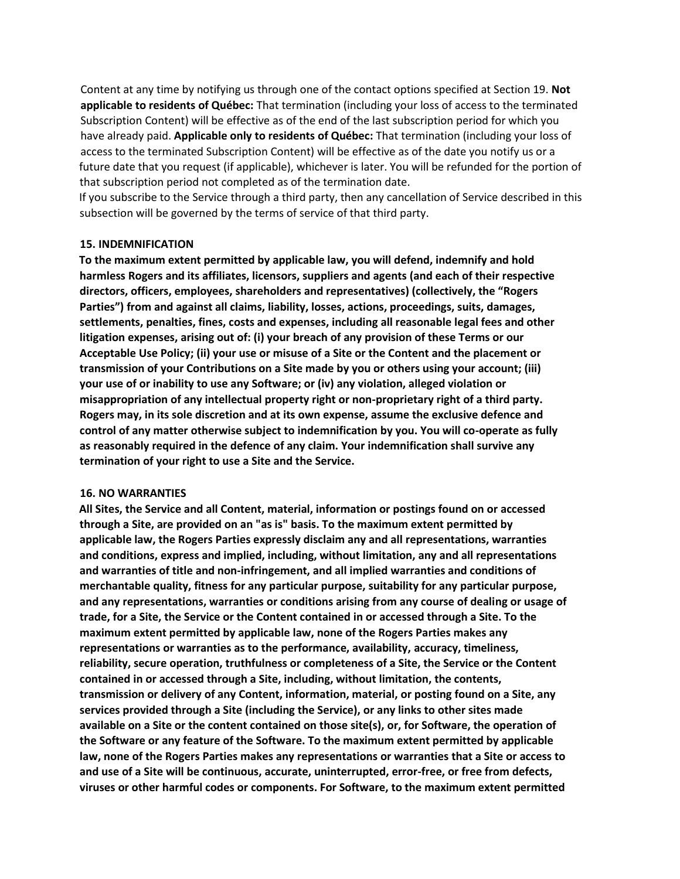Content at any time by notifying us through one of the contact options specified at Section 19. **Not applicable to residents of Québec:** That termination (including your loss of access to the terminated Subscription Content) will be effective as of the end of the last subscription period for which you have already paid. **Applicable only to residents of Québec:** That termination (including your loss of access to the terminated Subscription Content) will be effective as of the date you notify us or a future date that you request (if applicable), whichever is later. You will be refunded for the portion of that subscription period not completed as of the termination date.

If you subscribe to the Service through a third party, then any cancellation of Service described in this subsection will be governed by the terms of service of that third party.

#### **15. INDEMNIFICATION**

**To the maximum extent permitted by applicable law, you will defend, indemnify and hold harmless Rogers and its affiliates, licensors, suppliers and agents (and each of their respective directors, officers, employees, shareholders and representatives) (collectively, the "Rogers Parties") from and against all claims, liability, losses, actions, proceedings, suits, damages, settlements, penalties, fines, costs and expenses, including all reasonable legal fees and other litigation expenses, arising out of: (i) your breach of any provision of these Terms or our Acceptable Use Policy; (ii) your use or misuse of a Site or the Content and the placement or transmission of your Contributions on a Site made by you or others using your account; (iii) your use of or inability to use any Software; or (iv) any violation, alleged violation or misappropriation of any intellectual property right or non-proprietary right of a third party. Rogers may, in its sole discretion and at its own expense, assume the exclusive defence and control of any matter otherwise subject to indemnification by you. You will co-operate as fully as reasonably required in the defence of any claim. Your indemnification shall survive any termination of your right to use a Site and the Service.** 

#### **16. NO WARRANTIES**

**All Sites, the Service and all Content, material, information or postings found on or accessed through a Site, are provided on an "as is" basis. To the maximum extent permitted by applicable law, the Rogers Parties expressly disclaim any and all representations, warranties and conditions, express and implied, including, without limitation, any and all representations and warranties of title and non-infringement, and all implied warranties and conditions of merchantable quality, fitness for any particular purpose, suitability for any particular purpose, and any representations, warranties or conditions arising from any course of dealing or usage of trade, for a Site, the Service or the Content contained in or accessed through a Site. To the maximum extent permitted by applicable law, none of the Rogers Parties makes any representations or warranties as to the performance, availability, accuracy, timeliness, reliability, secure operation, truthfulness or completeness of a Site, the Service or the Content contained in or accessed through a Site, including, without limitation, the contents, transmission or delivery of any Content, information, material, or posting found on a Site, any services provided through a Site (including the Service), or any links to other sites made available on a Site or the content contained on those site(s), or, for Software, the operation of the Software or any feature of the Software. To the maximum extent permitted by applicable law, none of the Rogers Parties makes any representations or warranties that a Site or access to and use of a Site will be continuous, accurate, uninterrupted, error-free, or free from defects, viruses or other harmful codes or components. For Software, to the maximum extent permitted**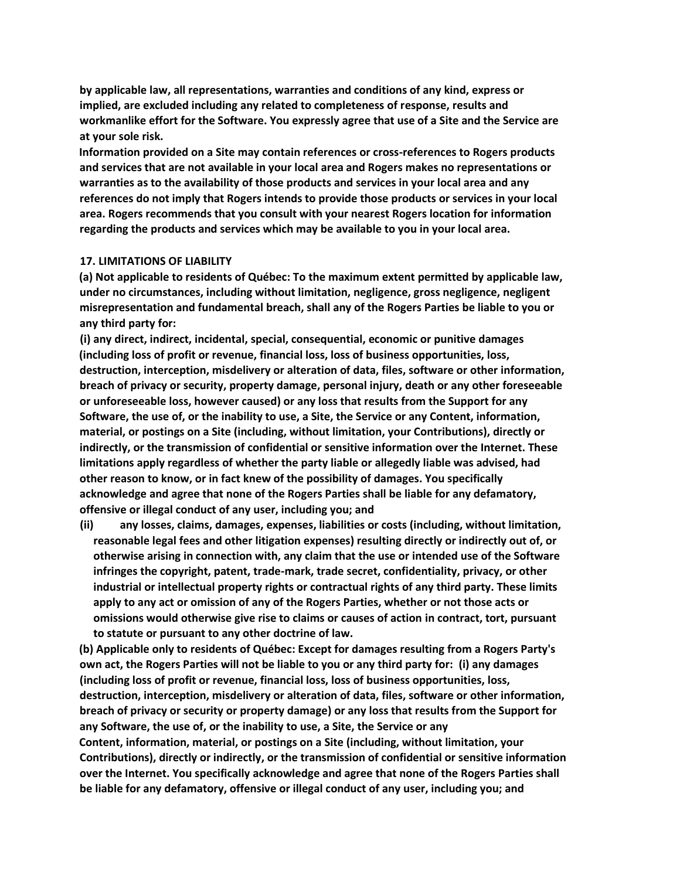**by applicable law, all representations, warranties and conditions of any kind, express or implied, are excluded including any related to completeness of response, results and workmanlike effort for the Software. You expressly agree that use of a Site and the Service are at your sole risk.** 

**Information provided on a Site may contain references or cross-references to Rogers products and services that are not available in your local area and Rogers makes no representations or warranties as to the availability of those products and services in your local area and any references do not imply that Rogers intends to provide those products or services in your local area. Rogers recommends that you consult with your nearest Rogers location for information regarding the products and services which may be available to you in your local area.** 

#### **17. LIMITATIONS OF LIABILITY**

**(a) Not applicable to residents of Québec: To the maximum extent permitted by applicable law, under no circumstances, including without limitation, negligence, gross negligence, negligent misrepresentation and fundamental breach, shall any of the Rogers Parties be liable to you or any third party for:** 

**(i) any direct, indirect, incidental, special, consequential, economic or punitive damages (including loss of profit or revenue, financial loss, loss of business opportunities, loss, destruction, interception, misdelivery or alteration of data, files, software or other information, breach of privacy or security, property damage, personal injury, death or any other foreseeable or unforeseeable loss, however caused) or any loss that results from the Support for any Software, the use of, or the inability to use, a Site, the Service or any Content, information, material, or postings on a Site (including, without limitation, your Contributions), directly or indirectly, or the transmission of confidential or sensitive information over the Internet. These limitations apply regardless of whether the party liable or allegedly liable was advised, had other reason to know, or in fact knew of the possibility of damages. You specifically acknowledge and agree that none of the Rogers Parties shall be liable for any defamatory, offensive or illegal conduct of any user, including you; and** 

**(ii) any losses, claims, damages, expenses, liabilities or costs (including, without limitation, reasonable legal fees and other litigation expenses) resulting directly or indirectly out of, or otherwise arising in connection with, any claim that the use or intended use of the Software infringes the copyright, patent, trade-mark, trade secret, confidentiality, privacy, or other industrial or intellectual property rights or contractual rights of any third party. These limits apply to any act or omission of any of the Rogers Parties, whether or not those acts or omissions would otherwise give rise to claims or causes of action in contract, tort, pursuant to statute or pursuant to any other doctrine of law.** 

**(b) Applicable only to residents of Québec: Except for damages resulting from a Rogers Party's own act, the Rogers Parties will not be liable to you or any third party for: (i) any damages (including loss of profit or revenue, financial loss, loss of business opportunities, loss, destruction, interception, misdelivery or alteration of data, files, software or other information, breach of privacy or security or property damage) or any loss that results from the Support for any Software, the use of, or the inability to use, a Site, the Service or any Content, information, material, or postings on a Site (including, without limitation, your Contributions), directly or indirectly, or the transmission of confidential or sensitive information over the Internet. You specifically acknowledge and agree that none of the Rogers Parties shall be liable for any defamatory, offensive or illegal conduct of any user, including you; and**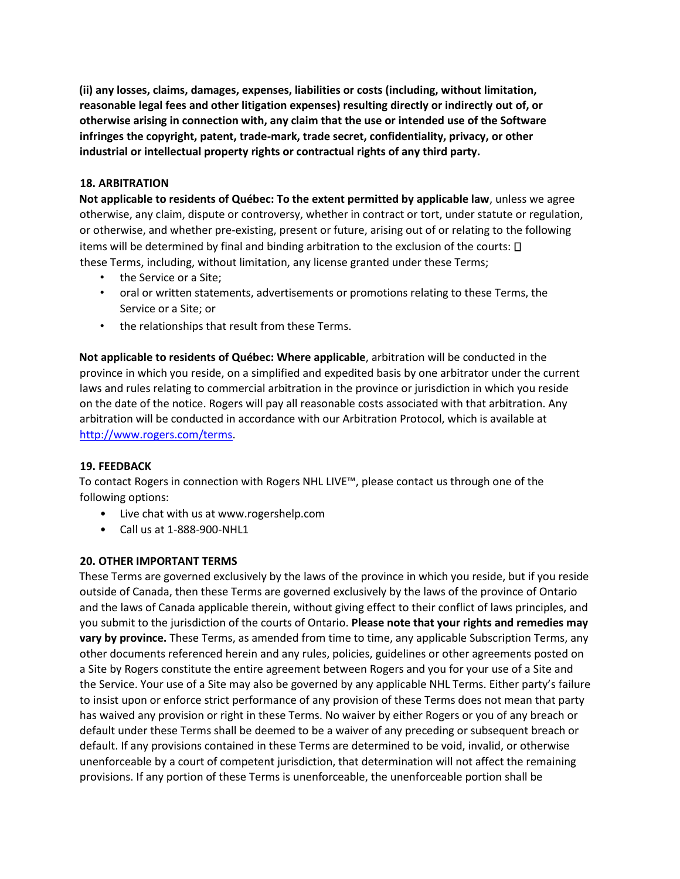**(ii) any losses, claims, damages, expenses, liabilities or costs (including, without limitation, reasonable legal fees and other litigation expenses) resulting directly or indirectly out of, or otherwise arising in connection with, any claim that the use or intended use of the Software infringes the copyright, patent, trade-mark, trade secret, confidentiality, privacy, or other industrial or intellectual property rights or contractual rights of any third party.** 

### **18. ARBITRATION**

**Not applicable to residents of Québec: To the extent permitted by applicable law**, unless we agree otherwise, any claim, dispute or controversy, whether in contract or tort, under statute or regulation, or otherwise, and whether pre-existing, present or future, arising out of or relating to the following items will be determined by final and binding arbitration to the exclusion of the courts: these Terms, including, without limitation, any license granted under these Terms;

- the Service or a Site;
- oral or written statements, advertisements or promotions relating to these Terms, the Service or a Site; or
- the relationships that result from these Terms.

**Not applicable to residents of Québec: Where applicable**, arbitration will be conducted in the province in which you reside, on a simplified and expedited basis by one arbitrator under the current laws and rules relating to commercial arbitration in the province or jurisdiction in which you reside on the date of the notice. Rogers will pay all reasonable costs associated with that arbitration. Any arbitration will be conducted in accordance with our Arbitration Protocol, which is available at [http://www.rogers.com/terms.](http://www.rogers.com/terms)

### **19. FEEDBACK**

To contact Rogers in connection with Rogers NHL LIVE™, please contact us through one of the following options:

- Live chat with us at www.rogershelp.com
- Call us at 1-888-900-NHL1

### **20. OTHER IMPORTANT TERMS**

These Terms are governed exclusively by the laws of the province in which you reside, but if you reside outside of Canada, then these Terms are governed exclusively by the laws of the province of Ontario and the laws of Canada applicable therein, without giving effect to their conflict of laws principles, and you submit to the jurisdiction of the courts of Ontario. **Please note that your rights and remedies may vary by province.** These Terms, as amended from time to time, any applicable Subscription Terms, any other documents referenced herein and any rules, policies, guidelines or other agreements posted on a Site by Rogers constitute the entire agreement between Rogers and you for your use of a Site and the Service. Your use of a Site may also be governed by any applicable NHL Terms. Either party's failure to insist upon or enforce strict performance of any provision of these Terms does not mean that party has waived any provision or right in these Terms. No waiver by either Rogers or you of any breach or default under these Terms shall be deemed to be a waiver of any preceding or subsequent breach or default. If any provisions contained in these Terms are determined to be void, invalid, or otherwise unenforceable by a court of competent jurisdiction, that determination will not affect the remaining provisions. If any portion of these Terms is unenforceable, the unenforceable portion shall be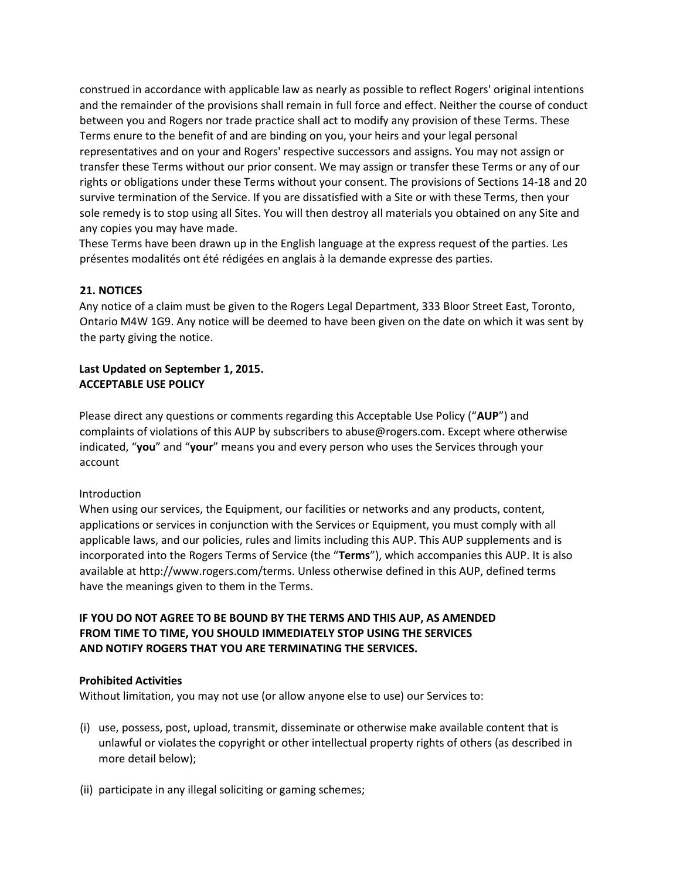construed in accordance with applicable law as nearly as possible to reflect Rogers' original intentions and the remainder of the provisions shall remain in full force and effect. Neither the course of conduct between you and Rogers nor trade practice shall act to modify any provision of these Terms. These Terms enure to the benefit of and are binding on you, your heirs and your legal personal representatives and on your and Rogers' respective successors and assigns. You may not assign or transfer these Terms without our prior consent. We may assign or transfer these Terms or any of our rights or obligations under these Terms without your consent. The provisions of Sections 14-18 and 20 survive termination of the Service. If you are dissatisfied with a Site or with these Terms, then your sole remedy is to stop using all Sites. You will then destroy all materials you obtained on any Site and any copies you may have made.

These Terms have been drawn up in the English language at the express request of the parties. Les présentes modalités ont été rédigées en anglais à la demande expresse des parties.

#### **21. NOTICES**

Any notice of a claim must be given to the Rogers Legal Department, 333 Bloor Street East, Toronto, Ontario M4W 1G9. Any notice will be deemed to have been given on the date on which it was sent by the party giving the notice.

### **Last Updated on September 1, 2015. ACCEPTABLE USE POLICY**

Please direct any questions or comments regarding this Acceptable Use Policy ("**AUP**") and complaints of violations of this AUP by subscribers to abuse@rogers.com. Except where otherwise indicated, "**you**" and "**your**" means you and every person who uses the Services through your account

#### Introduction

When using our services, the Equipment, our facilities or networks and any products, content, applications or services in conjunction with the Services or Equipment, you must comply with all applicable laws, and our policies, rules and limits including this AUP. This AUP supplements and is incorporated into the Rogers Terms of Service (the "**Terms**"), which accompanies this AUP. It is also available at http://www.rogers.com/terms. Unless otherwise defined in this AUP, defined terms have the meanings given to them in the Terms.

# **IF YOU DO NOT AGREE TO BE BOUND BY THE TERMS AND THIS AUP, AS AMENDED FROM TIME TO TIME, YOU SHOULD IMMEDIATELY STOP USING THE SERVICES AND NOTIFY ROGERS THAT YOU ARE TERMINATING THE SERVICES.**

#### **Prohibited Activities**

Without limitation, you may not use (or allow anyone else to use) our Services to:

- (i) use, possess, post, upload, transmit, disseminate or otherwise make available content that is unlawful or violates the copyright or other intellectual property rights of others (as described in more detail below);
- (ii) participate in any illegal soliciting or gaming schemes;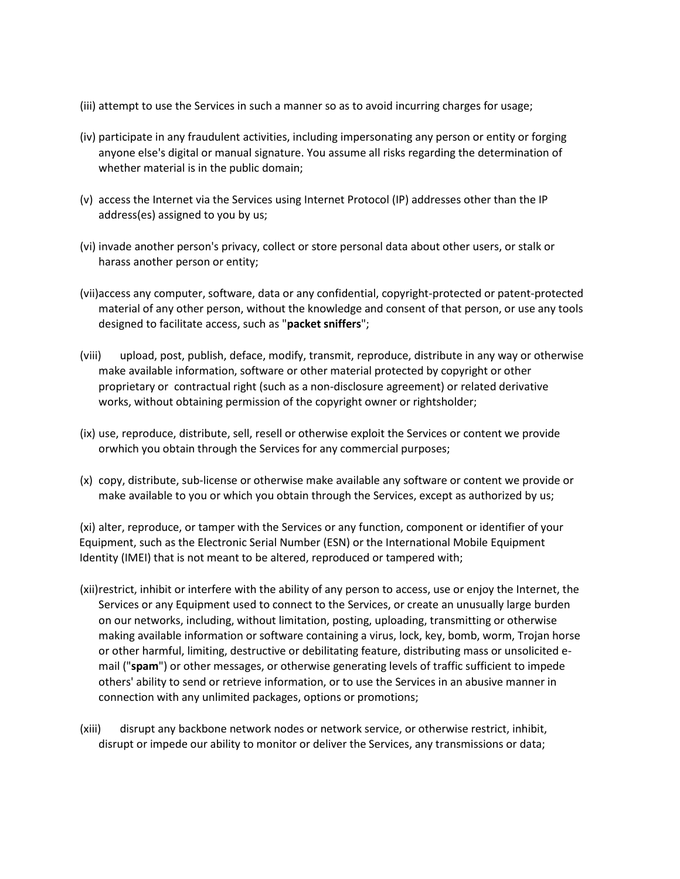- (iii) attempt to use the Services in such a manner so as to avoid incurring charges for usage;
- (iv) participate in any fraudulent activities, including impersonating any person or entity or forging anyone else's digital or manual signature. You assume all risks regarding the determination of whether material is in the public domain;
- (v) access the Internet via the Services using Internet Protocol (IP) addresses other than the IP address(es) assigned to you by us;
- (vi) invade another person's privacy, collect or store personal data about other users, or stalk or harass another person or entity;
- (vii)access any computer, software, data or any confidential, copyright-protected or patent-protected material of any other person, without the knowledge and consent of that person, or use any tools designed to facilitate access, such as "**packet sniffers**";
- (viii) upload, post, publish, deface, modify, transmit, reproduce, distribute in any way or otherwise make available information, software or other material protected by copyright or other proprietary or contractual right (such as a non-disclosure agreement) or related derivative works, without obtaining permission of the copyright owner or rightsholder;
- (ix) use, reproduce, distribute, sell, resell or otherwise exploit the Services or content we provide orwhich you obtain through the Services for any commercial purposes;
- (x) copy, distribute, sub-license or otherwise make available any software or content we provide or make available to you or which you obtain through the Services, except as authorized by us;

(xi) alter, reproduce, or tamper with the Services or any function, component or identifier of your Equipment, such as the Electronic Serial Number (ESN) or the International Mobile Equipment Identity (IMEI) that is not meant to be altered, reproduced or tampered with;

- (xii)restrict, inhibit or interfere with the ability of any person to access, use or enjoy the Internet, the Services or any Equipment used to connect to the Services, or create an unusually large burden on our networks, including, without limitation, posting, uploading, transmitting or otherwise making available information or software containing a virus, lock, key, bomb, worm, Trojan horse or other harmful, limiting, destructive or debilitating feature, distributing mass or unsolicited email ("**spam**") or other messages, or otherwise generating levels of traffic sufficient to impede others' ability to send or retrieve information, or to use the Services in an abusive manner in connection with any unlimited packages, options or promotions;
- (xiii) disrupt any backbone network nodes or network service, or otherwise restrict, inhibit, disrupt or impede our ability to monitor or deliver the Services, any transmissions or data;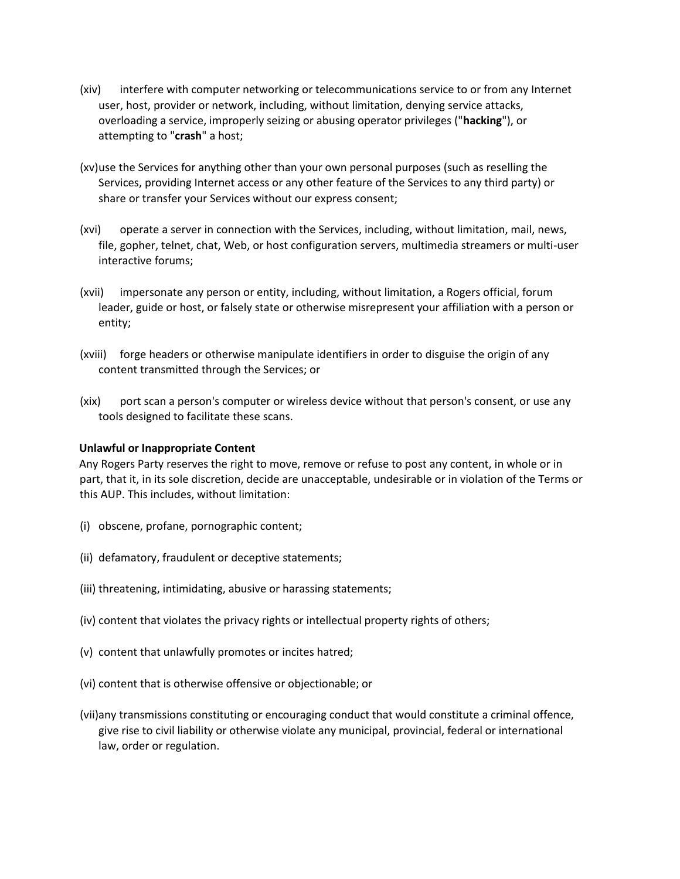- (xiv) interfere with computer networking or telecommunications service to or from any Internet user, host, provider or network, including, without limitation, denying service attacks, overloading a service, improperly seizing or abusing operator privileges ("**hacking**"), or attempting to "**crash**" a host;
- (xv)use the Services for anything other than your own personal purposes (such as reselling the Services, providing Internet access or any other feature of the Services to any third party) or share or transfer your Services without our express consent;
- (xvi) operate a server in connection with the Services, including, without limitation, mail, news, file, gopher, telnet, chat, Web, or host configuration servers, multimedia streamers or multi-user interactive forums;
- (xvii) impersonate any person or entity, including, without limitation, a Rogers official, forum leader, guide or host, or falsely state or otherwise misrepresent your affiliation with a person or entity;
- (xviii) forge headers or otherwise manipulate identifiers in order to disguise the origin of any content transmitted through the Services; or
- (xix) port scan a person's computer or wireless device without that person's consent, or use any tools designed to facilitate these scans.

#### **Unlawful or Inappropriate Content**

Any Rogers Party reserves the right to move, remove or refuse to post any content, in whole or in part, that it, in its sole discretion, decide are unacceptable, undesirable or in violation of the Terms or this AUP. This includes, without limitation:

- (i) obscene, profane, pornographic content;
- (ii) defamatory, fraudulent or deceptive statements;
- (iii) threatening, intimidating, abusive or harassing statements;
- (iv) content that violates the privacy rights or intellectual property rights of others;
- (v) content that unlawfully promotes or incites hatred;
- (vi) content that is otherwise offensive or objectionable; or
- (vii)any transmissions constituting or encouraging conduct that would constitute a criminal offence, give rise to civil liability or otherwise violate any municipal, provincial, federal or international law, order or regulation.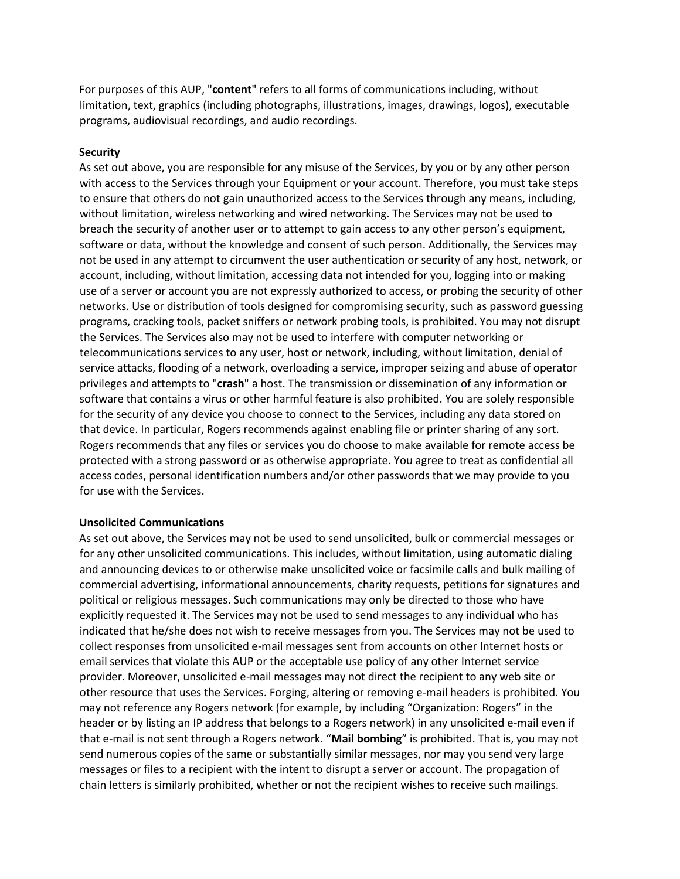For purposes of this AUP, "**content**" refers to all forms of communications including, without limitation, text, graphics (including photographs, illustrations, images, drawings, logos), executable programs, audiovisual recordings, and audio recordings.

#### **Security**

As set out above, you are responsible for any misuse of the Services, by you or by any other person with access to the Services through your Equipment or your account. Therefore, you must take steps to ensure that others do not gain unauthorized access to the Services through any means, including, without limitation, wireless networking and wired networking. The Services may not be used to breach the security of another user or to attempt to gain access to any other person's equipment, software or data, without the knowledge and consent of such person. Additionally, the Services may not be used in any attempt to circumvent the user authentication or security of any host, network, or account, including, without limitation, accessing data not intended for you, logging into or making use of a server or account you are not expressly authorized to access, or probing the security of other networks. Use or distribution of tools designed for compromising security, such as password guessing programs, cracking tools, packet sniffers or network probing tools, is prohibited. You may not disrupt the Services. The Services also may not be used to interfere with computer networking or telecommunications services to any user, host or network, including, without limitation, denial of service attacks, flooding of a network, overloading a service, improper seizing and abuse of operator privileges and attempts to "**crash**" a host. The transmission or dissemination of any information or software that contains a virus or other harmful feature is also prohibited. You are solely responsible for the security of any device you choose to connect to the Services, including any data stored on that device. In particular, Rogers recommends against enabling file or printer sharing of any sort. Rogers recommends that any files or services you do choose to make available for remote access be protected with a strong password or as otherwise appropriate. You agree to treat as confidential all access codes, personal identification numbers and/or other passwords that we may provide to you for use with the Services.

#### **Unsolicited Communications**

As set out above, the Services may not be used to send unsolicited, bulk or commercial messages or for any other unsolicited communications. This includes, without limitation, using automatic dialing and announcing devices to or otherwise make unsolicited voice or facsimile calls and bulk mailing of commercial advertising, informational announcements, charity requests, petitions for signatures and political or religious messages. Such communications may only be directed to those who have explicitly requested it. The Services may not be used to send messages to any individual who has indicated that he/she does not wish to receive messages from you. The Services may not be used to collect responses from unsolicited e-mail messages sent from accounts on other Internet hosts or email services that violate this AUP or the acceptable use policy of any other Internet service provider. Moreover, unsolicited e-mail messages may not direct the recipient to any web site or other resource that uses the Services. Forging, altering or removing e-mail headers is prohibited. You may not reference any Rogers network (for example, by including "Organization: Rogers" in the header or by listing an IP address that belongs to a Rogers network) in any unsolicited e-mail even if that e-mail is not sent through a Rogers network. "**Mail bombing**" is prohibited. That is, you may not send numerous copies of the same or substantially similar messages, nor may you send very large messages or files to a recipient with the intent to disrupt a server or account. The propagation of chain letters is similarly prohibited, whether or not the recipient wishes to receive such mailings.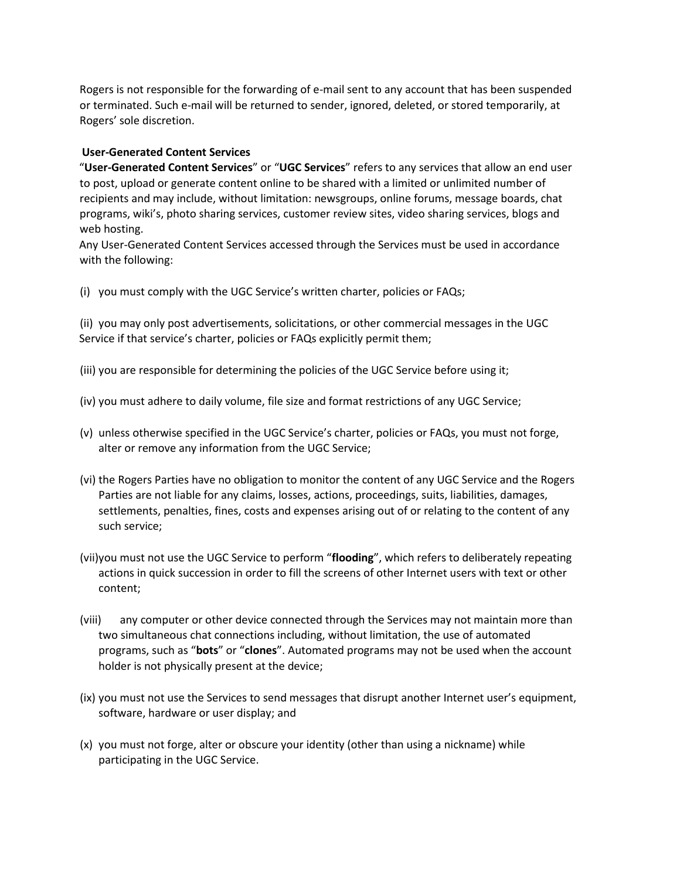Rogers is not responsible for the forwarding of e-mail sent to any account that has been suspended or terminated. Such e-mail will be returned to sender, ignored, deleted, or stored temporarily, at Rogers' sole discretion.

### **User-Generated Content Services**

"**User-Generated Content Services**" or "**UGC Services**" refers to any services that allow an end user to post, upload or generate content online to be shared with a limited or unlimited number of recipients and may include, without limitation: newsgroups, online forums, message boards, chat programs, wiki's, photo sharing services, customer review sites, video sharing services, blogs and web hosting.

Any User-Generated Content Services accessed through the Services must be used in accordance with the following:

(i) you must comply with the UGC Service's written charter, policies or FAQs;

(ii) you may only post advertisements, solicitations, or other commercial messages in the UGC Service if that service's charter, policies or FAQs explicitly permit them;

- (iii) you are responsible for determining the policies of the UGC Service before using it;
- (iv) you must adhere to daily volume, file size and format restrictions of any UGC Service;
- (v) unless otherwise specified in the UGC Service's charter, policies or FAQs, you must not forge, alter or remove any information from the UGC Service;
- (vi) the Rogers Parties have no obligation to monitor the content of any UGC Service and the Rogers Parties are not liable for any claims, losses, actions, proceedings, suits, liabilities, damages, settlements, penalties, fines, costs and expenses arising out of or relating to the content of any such service;
- (vii)you must not use the UGC Service to perform "**flooding**", which refers to deliberately repeating actions in quick succession in order to fill the screens of other Internet users with text or other content;
- (viii) any computer or other device connected through the Services may not maintain more than two simultaneous chat connections including, without limitation, the use of automated programs, such as "**bots**" or "**clones**". Automated programs may not be used when the account holder is not physically present at the device;
- (ix) you must not use the Services to send messages that disrupt another Internet user's equipment, software, hardware or user display; and
- (x) you must not forge, alter or obscure your identity (other than using a nickname) while participating in the UGC Service.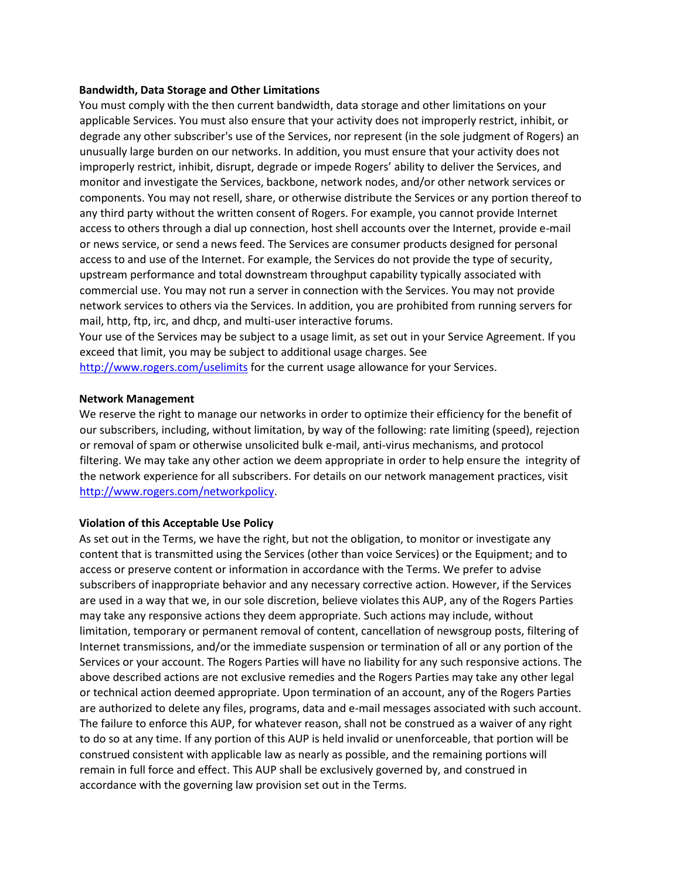#### **Bandwidth, Data Storage and Other Limitations**

You must comply with the then current bandwidth, data storage and other limitations on your applicable Services. You must also ensure that your activity does not improperly restrict, inhibit, or degrade any other subscriber's use of the Services, nor represent (in the sole judgment of Rogers) an unusually large burden on our networks. In addition, you must ensure that your activity does not improperly restrict, inhibit, disrupt, degrade or impede Rogers' ability to deliver the Services, and monitor and investigate the Services, backbone, network nodes, and/or other network services or components. You may not resell, share, or otherwise distribute the Services or any portion thereof to any third party without the written consent of Rogers. For example, you cannot provide Internet access to others through a dial up connection, host shell accounts over the Internet, provide e-mail or news service, or send a news feed. The Services are consumer products designed for personal access to and use of the Internet. For example, the Services do not provide the type of security, upstream performance and total downstream throughput capability typically associated with commercial use. You may not run a server in connection with the Services. You may not provide network services to others via the Services. In addition, you are prohibited from running servers for mail, http, ftp, irc, and dhcp, and multi-user interactive forums.

Your use of the Services may be subject to a usage limit, as set out in your Service Agreement. If you exceed that limit, you may be subject to additional usage charges. See

<http://www.rogers.com/uselimits> for the current usage allowance for your Services.

#### **Network Management**

We reserve the right to manage our networks in order to optimize their efficiency for the benefit of our subscribers, including, without limitation, by way of the following: rate limiting (speed), rejection or removal of spam or otherwise unsolicited bulk e-mail, anti-virus mechanisms, and protocol filtering. We may take any other action we deem appropriate in order to help ensure the integrity of the network experience for all subscribers. For details on our network management practices, visit [http://www.rogers.com/networkpolicy.](http://www.rogers.com/networkpolicy)

#### **Violation of this Acceptable Use Policy**

As set out in the Terms, we have the right, but not the obligation, to monitor or investigate any content that is transmitted using the Services (other than voice Services) or the Equipment; and to access or preserve content or information in accordance with the Terms. We prefer to advise subscribers of inappropriate behavior and any necessary corrective action. However, if the Services are used in a way that we, in our sole discretion, believe violates this AUP, any of the Rogers Parties may take any responsive actions they deem appropriate. Such actions may include, without limitation, temporary or permanent removal of content, cancellation of newsgroup posts, filtering of Internet transmissions, and/or the immediate suspension or termination of all or any portion of the Services or your account. The Rogers Parties will have no liability for any such responsive actions. The above described actions are not exclusive remedies and the Rogers Parties may take any other legal or technical action deemed appropriate. Upon termination of an account, any of the Rogers Parties are authorized to delete any files, programs, data and e-mail messages associated with such account. The failure to enforce this AUP, for whatever reason, shall not be construed as a waiver of any right to do so at any time. If any portion of this AUP is held invalid or unenforceable, that portion will be construed consistent with applicable law as nearly as possible, and the remaining portions will remain in full force and effect. This AUP shall be exclusively governed by, and construed in accordance with the governing law provision set out in the Terms.